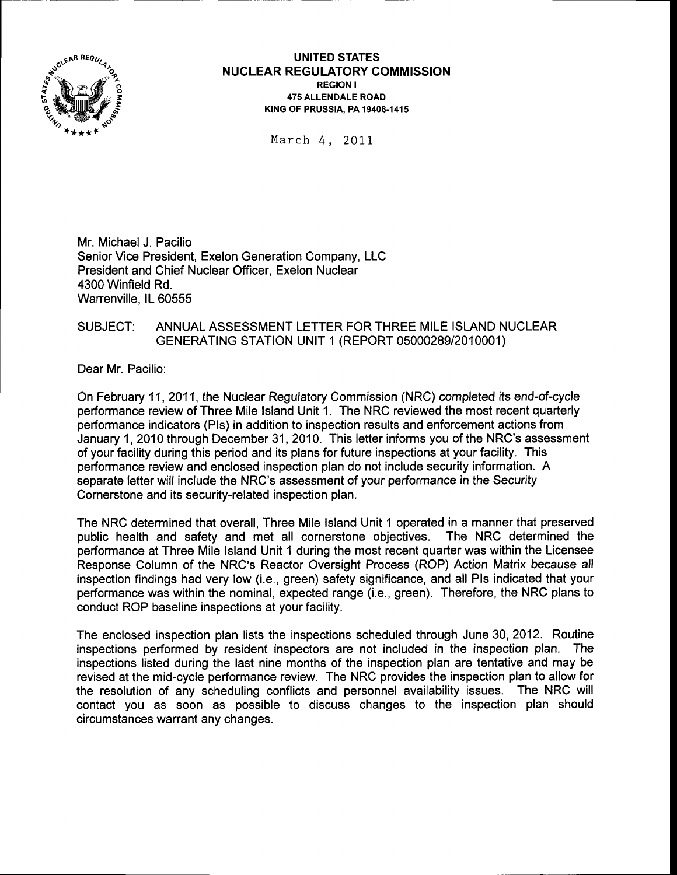

#### UNITED STATES **NUCLEAR REGULATORY COMMISSION** REGION <sup>I</sup> 475 ALLENDALE ROAD KING OF PRUSSIA. PA 19406-1415

March 4, 2OLI

Mr. Michael J. Pacilio Senior Vice President, Exelon Generation Company, LLC President and Chief Nuclear Officer, Exelon Nuclear 4300 Winfield Rd. Warrenville. lL 60555

### SUBJECT: ANNUAL ASSESSMENT LETTER FOR THREE MILE ISLAND NUCLEAR GENERATING STATION UNIT 1 (REPORT 05000289/2010001)

Dear Mr. Pacilio:

On February 11,2011, the Nuclear Regulatory Commission (NRC) completed its end-of-cycle performance review of Three Mile lsland Unit 1. The NRC reviewed the most recent quarterly performance indicators (Pls) in addition to inspection results and enforcement actions from January 1, 2010 through December 31,2010. This letter informs you of the NRC's assessment of your facility during this period and its plans for future inspections at your facility. This performance review and enclosed inspection plan do not include security information. A separate letter will include the NRC's assessment of your performance in the Security Cornerstone and its security-related inspection plan.

The NRC determined that overall, Three Mile lsland Unit 1 operated in a manner that preserved public health and safety and met all cornerstone objectives. The NRC determined the performance at Three Mile lsland Unit 1 during the most recent quarter was within the Licensee Response Column of the NRC's Reactor Oversight Process (ROP) Action Matrix because all inspection findings had very low (i.e., green) safety significance, and all Pls indicated that your performance was within the nominal, expected range (i.e., green). Therefore, the NRC plans to conduct ROP baseline inspections at your facility.

The enclosed inspection plan lists the inspections scheduled through June 30, 2012. Routine inspections performed by resident inspectors are not included in the inspection plan. The inspections listed during the last nine months of the inspection plan are tentative and may be revised at the mid-cycle performance review. The NRC provides the inspection plan to allow for the resolution of any scheduling conflicts and personnel availability issues. The NRC will contact you as soon as possible to discuss changes to the inspection plan should circumstances warrant any changes.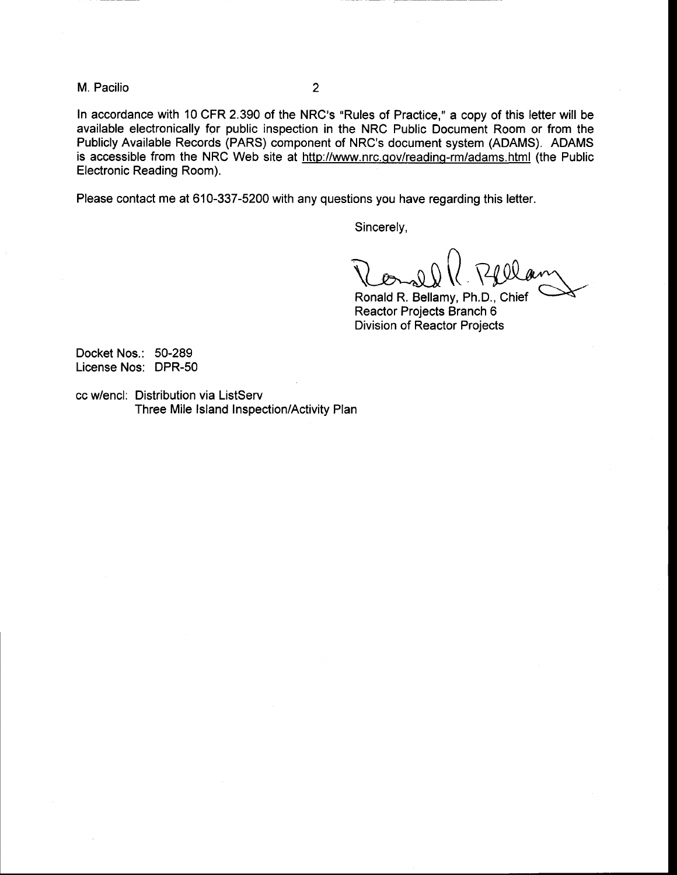M. Pacilio <sup>2</sup>

In accordance with 10 CFR 2.390 of the NRC's "Rules of Practice," a copy of this letter will be available electronically for public inspection in the NRC Public Document Room or from the Publicly Available Records (PARS) component of NRC's document system (ADAMS). ADAMS is accessible from the NRC Web site at http://www.nrc.gov/reading-rm/adams.html (the Public Electronic Reading Room).

Please contact me at 610-337-5200 with any questions you have regarding this letter.

Sincerely,

 $\overline{\bigcap}$  $\chi_{\rm small}$ 

Ronald R. Bellamy, Ph.D., Chief Reactor Projects Branch 6 Division of Reactor Projects

Docket Nos.: 50-289 License Nos: DPR-50

cc w/encl: Distribution via ListServ Three Mile lsland Inspection/Activity Plan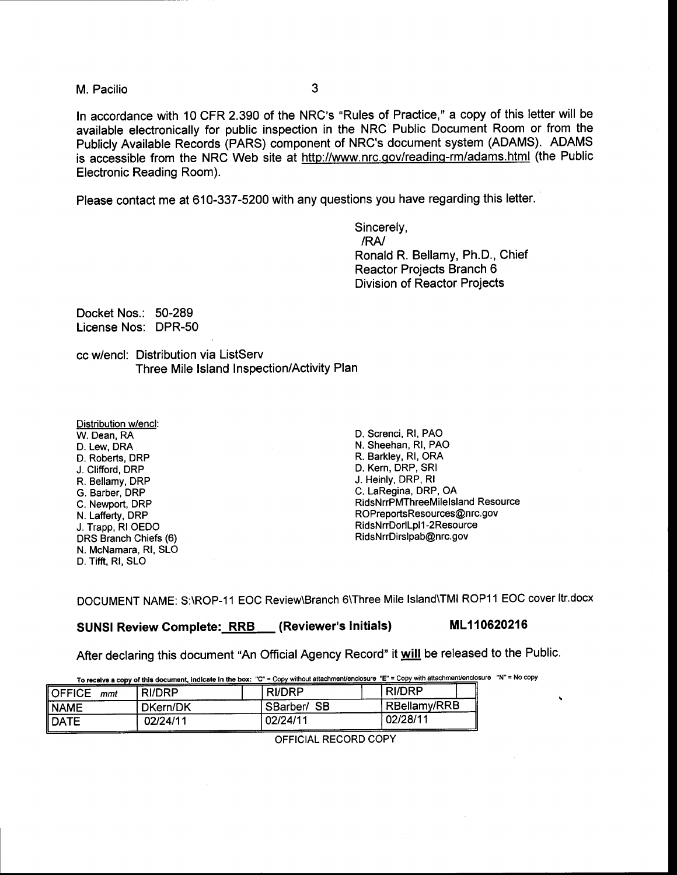M. Pacilio 3

<sup>f</sup>n accordance with 10 CFR 2390 of the NRC's "Rules of Practice," a copy of this letter will be available electronically for public inspection in the NRC Public Document Room or from the Publicly Available Records (PARS) component of NRC's document system (ADAMS). ADAMS is accessible from the NRC Web site at http://www.nrc.gov/reading-rm/adams.html (the Public Electronic Reading Room).

Please contact me at 610-337-5200 with any questions you have regarding this letter.

Sincerely, /RA/ Ronald R. Bellamy, Ph.D., Chief Reactor Projects Branch 6 Division of Reactor Projects

Docket Nos.: 50-289 License Nos: DPR-50

cc w/encl: Distribution via ListServ Three Mile lsland Inspection/Activity Plan

Distribution Wencl: W. Dean, RA D. Lew, DRA D. Roberts, DRP J. Clifford, DRP R. Bellamy, DRP G. Barber, DRP C. Newport, DRP N. Lafferty, DRP J. Trapp, RIOEDO DRS Branch Chiefs (6) N. McNamara, Rl, SLO D. Tifft, RI, SLO

D. Screnci, Rl, PAO N. Sheehan, Rl, PAO R. Barkley, Rl, ORA D. Kern, DRP, SRI J. Heinly, DRP, Rl C. LaRegina, DRP, OA RidsNrrPMThreeMilelsland Resource ROPreportsResources@nrc.gov RidsNrrDorlLpl1-2Resource RidsNrrDirslpab@nrc.gov

DOCUMENT NAME: S:\ROP-11 EOC Review\Branch 6\Three Mile lsland\TMl ROP11 EOC cover ltr.docx

SUNSI Review Complete: RRB (Reviewer's Initials) ML110620216

After declaring this document "An Official Agency Record" it will be released to the Public.

|                              |          | To receive a copy of this document, indicate in the box: "C" = Copy without attachment/enclosure "E" = Copy with attachment/enclosure "N" = No copy |               |  |
|------------------------------|----------|-----------------------------------------------------------------------------------------------------------------------------------------------------|---------------|--|
| $\blacksquare$ OFFICE<br>mmt | RI/DRP   | RI/DRP                                                                                                                                              | <b>RI/DRP</b> |  |
| <b>NAME</b>                  | DKern/DK | SBarber/SB                                                                                                                                          | RBellamy/RRB  |  |
| DATE                         | 02/24/11 | 02/24/11                                                                                                                                            | ! 02/28/11    |  |

OFFICIAL RECORD COPY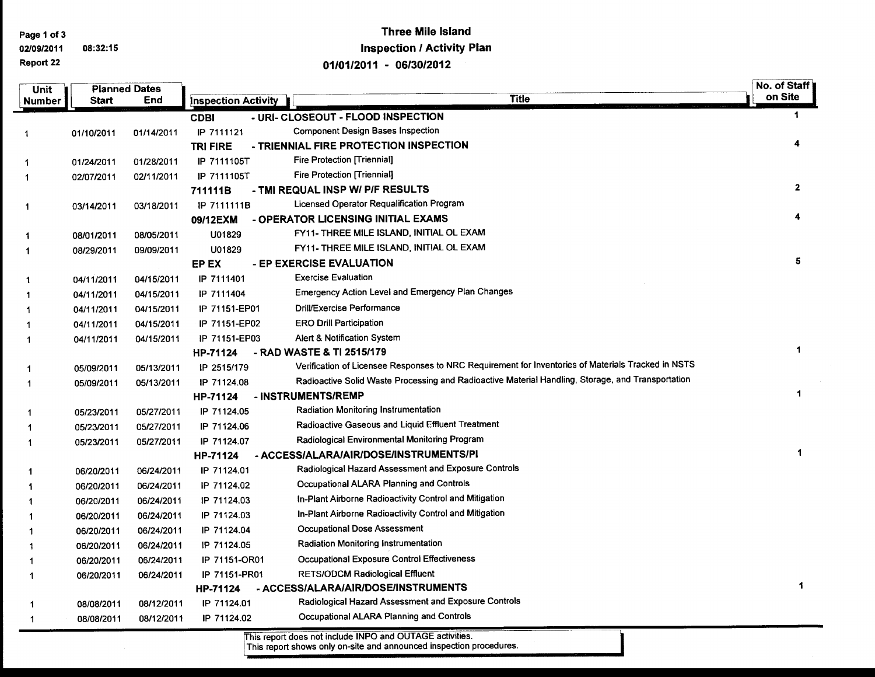Page 1 of 3

 $\overline{\phantom{0}}$ 

#### 0210912011 08:32:15 Report 22

# Three Mile lsland Inspection / Activity Plan o1t0112011 - <sup>0613012012</sup>

| Unit           | <b>Planned Dates</b> |            |                            |                                                                                                    | No. of Staff |
|----------------|----------------------|------------|----------------------------|----------------------------------------------------------------------------------------------------|--------------|
| Number         | <b>Start</b>         | End        | <b>Inspection Activity</b> | <b>Title</b>                                                                                       | on Site      |
|                |                      |            | <b>CDBI</b>                | - URI- CLOSEOUT - FLOOD INSPECTION                                                                 | 1            |
| $\mathbf{1}$   | 01/10/2011           | 01/14/2011 | IP 7111121                 | <b>Component Design Bases Inspection</b>                                                           |              |
|                |                      |            | <b>TRI FIRE</b>            | - TRIENNIAL FIRE PROTECTION INSPECTION                                                             | 4            |
| $\mathbf{1}$   | 01/24/2011           | 01/28/2011 | IP 7111105T                | <b>Fire Protection [Triennial]</b>                                                                 |              |
| $\mathbf{1}$   | 02/07/2011           | 02/11/2011 | IP 7111105T                | <b>Fire Protection [Triennial]</b>                                                                 |              |
|                |                      |            | 711111B                    | - TMI REQUAL INSP W/ P/F RESULTS                                                                   | $\mathbf{2}$ |
| $\mathbf{1}$   | 03/14/2011           | 03/18/2011 | IP 7111111B                | Licensed Operator Requalification Program                                                          |              |
|                |                      |            | 09/12EXM                   | - OPERATOR LICENSING INITIAL EXAMS                                                                 | 4            |
| $\mathbf{1}$   | 08/01/2011           | 08/05/2011 | U01829                     | FY11- THREE MILE ISLAND, INITIAL OL EXAM                                                           |              |
| $\mathbf{1}$   | 08/29/2011           | 09/09/2011 | U01829                     | FY11- THREE MILE ISLAND, INITIAL OL EXAM                                                           |              |
|                |                      |            | EP EX                      | - EP EXERCISE EVALUATION                                                                           | 5            |
| $\mathbf{1}$   | 04/11/2011           | 04/15/2011 | IP 7111401                 | <b>Exercise Evaluation</b>                                                                         |              |
| $\mathbf{1}$   | 04/11/2011           | 04/15/2011 | IP 7111404                 | Emergency Action Level and Emergency Plan Changes                                                  |              |
| $\overline{1}$ | 04/11/2011           | 04/15/2011 | IP 71151-EP01              | Drill/Exercise Performance                                                                         |              |
| 1              | 04/11/2011           | 04/15/2011 | IP 71151-EP02              | <b>ERO Drill Participation</b>                                                                     |              |
| 1              | 04/11/2011           | 04/15/2011 | IP 71151-EP03              | Alert & Notification System                                                                        |              |
|                |                      |            | HP-71124                   | - RAD WASTE & TI 2515/179                                                                          | 1            |
| 1              | 05/09/2011           | 05/13/2011 | IP 2515/179                | Verification of Licensee Responses to NRC Requirement for Inventories of Materials Tracked in NSTS |              |
| 1              | 05/09/2011           | 05/13/2011 | IP 71124.08                | Radioactive Solid Waste Processing and Radioactive Material Handling, Storage, and Transportation  |              |
|                |                      |            | HP-71124                   | - INSTRUMENTS/REMP                                                                                 | 1            |
| $\mathbf 1$    | 05/23/2011           | 05/27/2011 | IP 71124.05                | Radiation Monitoring Instrumentation                                                               |              |
| -1             | 05/23/2011           | 05/27/2011 | IP 71124.06                | <b>Radioactive Gaseous and Liquid Effluent Treatment</b>                                           |              |
| -1             | 05/23/2011           | 05/27/2011 | IP 71124.07                | Radiological Environmental Monitoring Program                                                      |              |
|                |                      |            | HP-71124                   | - ACCESS/ALARA/AIR/DOSE/INSTRUMENTS/PI                                                             | 1            |
| 1              | 06/20/2011           | 06/24/2011 | IP 71124.01                | Radiological Hazard Assessment and Exposure Controls                                               |              |
| -1             | 06/20/2011           | 06/24/2011 | IP 71124.02                | Occupational ALARA Planning and Controls                                                           |              |
| -1             | 06/20/2011           | 06/24/2011 | IP 71124.03                | In-Plant Airborne Radioactivity Control and Mitigation                                             |              |
| 1              | 06/20/2011           | 06/24/2011 | IP 71124.03                | In-Plant Airborne Radioactivity Control and Mitigation                                             |              |
| 1              | 06/20/2011           | 06/24/2011 | IP 71124.04                | <b>Occupational Dose Assessment</b>                                                                |              |
| 1              | 06/20/2011           | 06/24/2011 | IP 71124.05                | <b>Radiation Monitoring Instrumentation</b>                                                        |              |
| 1              | 06/20/2011           | 06/24/2011 | IP 71151-OR01              | <b>Occupational Exposure Control Effectiveness</b>                                                 |              |
| 1              | 06/20/2011           | 06/24/2011 | IP 71151-PR01              | <b>RETS/ODCM Radiological Effluent</b>                                                             |              |
|                |                      |            | HP-71124                   | - ACCESS/ALARA/AIR/DOSE/INSTRUMENTS                                                                | 1            |
| 1              | 08/08/2011           | 08/12/2011 | IP 71124.01                | Radiological Hazard Assessment and Exposure Controls                                               |              |
| $\mathbf 1$    | 08/08/2011           | 08/12/2011 | IP 71124.02                | Occupational ALARA Planning and Controls                                                           |              |

This report does not include INPO and OUTAGE activities.<br>This report shows only on-site and announced inspection procedures.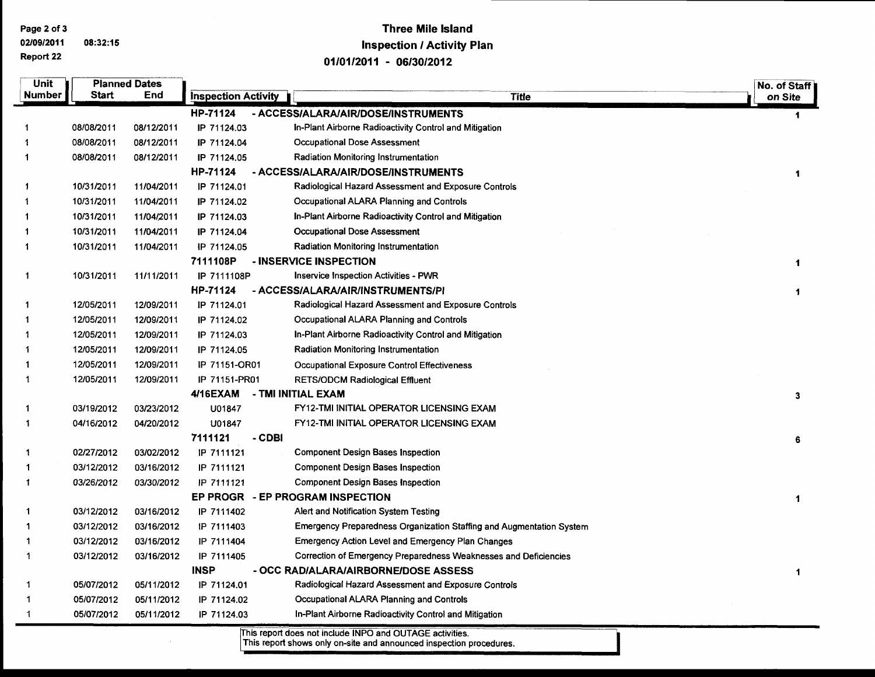Page 2 of 3

02/09/2011 08:32:15 Report 22

### **Three Mile Island Inspection / Activity Plan** 01/01/2011 - 06/30/2012

| Unit         |              | <b>Planned Dates</b> |                            |                                                                             | No. of Staff |
|--------------|--------------|----------------------|----------------------------|-----------------------------------------------------------------------------|--------------|
| Number       | <b>Start</b> | End                  | <b>Inspection Activity</b> | <b>Title</b>                                                                | on Site      |
|              |              |                      | HP-71124                   | - ACCESS/ALARA/AIR/DOSE/INSTRUMENTS                                         | 1            |
|              | 08/08/2011   | 08/12/2011           | IP 71124.03                | In-Plant Airborne Radioactivity Control and Mitigation                      |              |
|              | 08/08/2011   | 08/12/2011           | IP 71124.04                | <b>Occupational Dose Assessment</b>                                         |              |
| 1            | 08/08/2011   | 08/12/2011           | IP 71124.05                | Radiation Monitoring Instrumentation                                        |              |
|              |              |                      | HP-71124                   | - ACCESS/ALARA/AIR/DOSE/INSTRUMENTS                                         | 1            |
| 1            | 10/31/2011   | 11/04/2011           | IP 71124.01                | Radiological Hazard Assessment and Exposure Controls                        |              |
| 1            | 10/31/2011   | 11/04/2011           | IP 71124.02                | Occupational ALARA Planning and Controls                                    |              |
|              | 10/31/2011   | 11/04/2011           | IP 71124.03                | In-Plant Airborne Radioactivity Control and Mitigation                      |              |
|              | 10/31/2011   | 11/04/2011           | IP 71124.04                | <b>Occupational Dose Assessment</b>                                         |              |
| 1            | 10/31/2011   | 11/04/2011           | IP 71124.05                | <b>Radiation Monitoring Instrumentation</b>                                 |              |
|              |              |                      | 7111108P                   | - INSERVICE INSPECTION                                                      | 1            |
| $\mathbf{1}$ | 10/31/2011   | 11/11/2011           | IP 7111108P                | <b>Inservice Inspection Activities - PWR</b>                                |              |
|              |              |                      | HP-71124                   | - ACCESS/ALARA/AIR/INSTRUMENTS/PI                                           | 1            |
| 1            | 12/05/2011   | 12/09/2011           | IP 71124.01                | Radiological Hazard Assessment and Exposure Controls                        |              |
|              | 12/05/2011   | 12/09/2011           | IP 71124.02                | Occupational ALARA Planning and Controls                                    |              |
|              | 12/05/2011   | 12/09/2011           | IP 71124.03                | In-Plant Airborne Radioactivity Control and Mitigation                      |              |
|              | 12/05/2011   | 12/09/2011           | IP 71124.05                | <b>Radiation Monitoring Instrumentation</b>                                 |              |
|              | 12/05/2011   | 12/09/2011           | IP 71151-OR01              | <b>Occupational Exposure Control Effectiveness</b>                          |              |
| 1            | 12/05/2011   | 12/09/2011           | IP 71151-PR01<br>4/16EXAM  | <b>RETS/ODCM Radiological Effluent</b><br>- TMI INITIAL EXAM                |              |
| 1            | 03/19/2012   | 03/23/2012           | U01847                     | FY12-TMI INITIAL OPERATOR LICENSING EXAM                                    | 3            |
| 1            | 04/16/2012   | 04/20/2012           | U01847                     | FY12-TMI INITIAL OPERATOR LICENSING EXAM                                    |              |
|              |              |                      | 7111121                    | - CDBI                                                                      |              |
| 1            | 02/27/2012   | 03/02/2012           | IP 7111121                 | <b>Component Design Bases Inspection</b>                                    | 6            |
|              | 03/12/2012   | 03/16/2012           | IP 7111121                 | <b>Component Design Bases Inspection</b>                                    |              |
| -1           | 03/26/2012   | 03/30/2012           | IP 7111121                 | Component Design Bases Inspection                                           |              |
|              |              |                      | <b>EP PROGR</b>            | - EP PROGRAM INSPECTION                                                     | $\mathbf{1}$ |
| 1            | 03/12/2012   | 03/16/2012           | IP 7111402                 | Alert and Notification System Testing                                       |              |
|              | 03/12/2012   | 03/16/2012           | IP 7111403                 | <b>Emergency Preparedness Organization Staffing and Augmentation System</b> |              |
|              | 03/12/2012   | 03/16/2012           | IP 7111404                 | <b>Emergency Action Level and Emergency Plan Changes</b>                    |              |
| 1            | 03/12/2012   | 03/16/2012           | IP 7111405                 | Correction of Emergency Preparedness Weaknesses and Deficiencies            |              |
|              |              |                      | <b>INSP</b>                | - OCC RAD/ALARA/AIRBORNE/DOSE ASSESS                                        | 1            |
| 1            | 05/07/2012   | 05/11/2012           | IP 71124.01                | Radiological Hazard Assessment and Exposure Controls                        |              |
| 1            | 05/07/2012   | 05/11/2012           | IP 71124.02                | Occupational ALARA Planning and Controls                                    |              |
| 1            | 05/07/2012   | 05/11/2012           | IP 71124.03                | In-Plant Airborne Radioactivity Control and Mitigation                      |              |

This report does not include INPO and OUTAGE activities.<br>This report shows only on-site and announced inspection procedures.